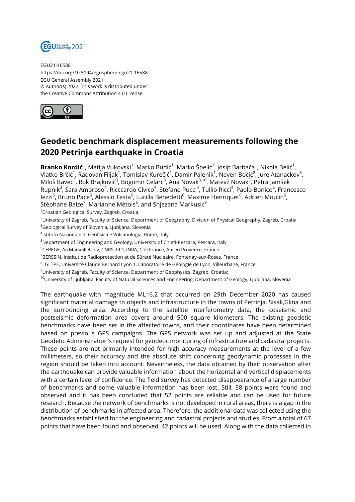

EGU21-16588 https://doi.org/10.5194/egusphere-egu21-16588 EGU General Assembly 2021 © Author(s) 2022. This work is distributed under the Creative Commons Attribution 4.0 License.



## **Geodetic benchmark displacement measurements following the 2020 Petrinja earthquake in Croatia**

**Branko Kordić<sup>1</sup>,** Matija Vukovski<sup>1</sup>, Marko Budić<sup>1</sup>, Marko Špelić<sup>1</sup>, Josip Barbača<sup>1</sup>, Nikola Belić<sup>1</sup>, Vlatko Brčić<sup>1</sup>, Radovan Filjak<sup>1</sup>, Tomislav Kurečić<sup>1</sup>, Damir Palenik<sup>1</sup>, Neven Bočić<sup>2</sup>, Jure Atanackov<sup>3</sup>, Miloš Bavec<sup>3</sup>, Rok Brajkovič<sup>3</sup>, Bogomir Celarc<sup>3</sup>, Ana Novak<sup>3,10</sup>, Matevž Novak<sup>3</sup>, Petra Jamšek Rupnik<sup>3</sup>, Sara Amoroso<sup>4</sup>, Ricccardo Civico<sup>4</sup>, Stefano Pucci<sup>4</sup>, Tullio Ricci<sup>4</sup>, Paolo Bonico<sup>5</sup>, Francesco lezzi<sup>5</sup>, Bruno Pace<sup>5</sup>, Alessio Testa<sup>5</sup>, Lucilla Benedetti<sup>6</sup>, Maxime Henriquet<sup>6</sup>, Adrien Moulin<sup>6</sup>, Stéphane Baize<sup>7</sup>, Marianne Métois<sup>8</sup>, and Snjezana Markusic<sup>9</sup>

<sup>1</sup>Croatian Geological Survey, Zagreb, Croatia

<sup>2</sup>University of Zagreb, Faculty of Science, Department of Geography, Division of Physical Geography, Zagreb, Croatia <sup>3</sup>Geological Survey of Slovenia, Ljubljana, Slovenia

4 Istituto Nazionale di Geofisica e Vulcanologia, Rome, Italy

<sup>5</sup>Department of Engineering and Geology, University of Chieti-Pescara, Pescara, Italy

<sup>6</sup>CEREGE, AixMarseilleUniv, CNRS, IRD, INRA, Coll France, Aix en Provence, France

<sup>7</sup>BERSSIN, Institut de Radioprotection et de Sûreté Nucléaire, Fontenay-aux-Roses, France

 $^8$ LGLTPE, Université Claude Bernard Lyon 1, Laboratoire de Géologie de Lyon, Villeurbane, France

<sup>9</sup>University of Zagreb, Faculty of Science, Department of Geophysics, Zagreb, Croatia;

 $10$ University of Ljubljana, Faculty of Natural Sciences and Engineering, Department of Geology, Ljubljana, Slovenia

The earthquake with magnitude ML=6.2 that occurred on 29th December 2020 has caused significant material damage to objects and infrastructure in the towns of Petrinja, Sisak,Glina and the surrounding area. According to the satellite interferometry data, the coseismic and postseismic deformation area covers around 500 square kilometers. The existing geodetic benchmarks have been set in the affected towns, and their coordinates have been determined based on previous GPS campaigns. The GPS network was set up and adjusted at the State Geodetic Administration's request for geodetic monitoring of infrastructure and cadastral projects. These points are not primarily intended for high accuracy measurements at the level of a few millimeters, so their accuracy and the absolute shift concerning geodynamic processes in the region should be taken into account. Nevertheless, the data obtained by their observation after the earthquake can provide valuable information about the horizontal and vertical displacements with a certain level of confidence. The field survey has detected disappearance of a large number of benchmarks and some valuable information has been lost. Still, 58 points were found and observed and it has been concluded that 52 points are reliable and can be used for future research. Because the network of benchmarks is not developed in rural areas, there is a gap in the distribution of benchmarks in affected area. Therefore, the additional data was collected using the benchmarks established for the engineering and cadastral projects and studies. From a total of 67 points that have been found and observed, 42 points will be used. Along with the data collected in